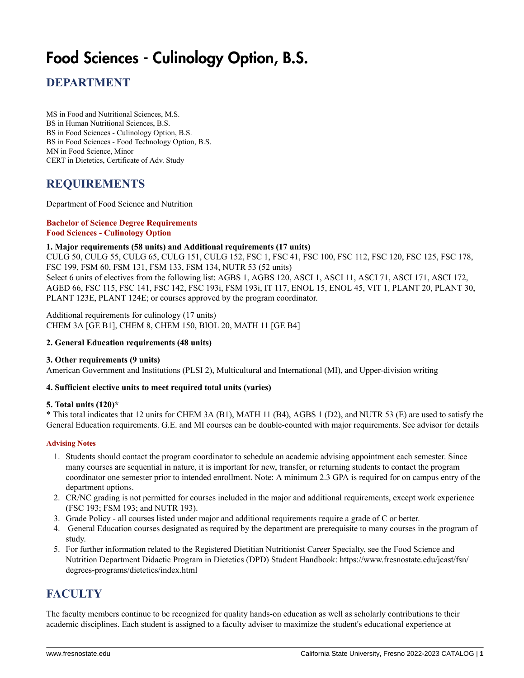# Food Sciences - Culinology Option, B.S.

## **DEPARTMENT**

MS in Food and Nutritional Sciences, M.S. BS in Human Nutritional Sciences, B.S. BS in Food Sciences - Culinology Option, B.S. BS in Food Sciences - Food Technology Option, B.S. MN in Food Science, Minor CERT in Dietetics, Certificate of Adv. Study

### **REQUIREMENTS**

Department of Food Science and Nutrition

#### **Bachelor of Science Degree Requirements Food Sciences - Culinology Option**

#### **1. Major requirements (58 units) and Additional requirements (17 units)**

CULG 50, CULG 55, CULG 65, CULG 151, CULG 152, FSC 1, FSC 41, FSC 100, FSC 112, FSC 120, FSC 125, FSC 178, FSC 199, FSM 60, FSM 131, FSM 133, FSM 134, NUTR 53 (52 units) Select 6 units of electives from the following list: AGBS 1, AGBS 120, ASCI 1, ASCI 11, ASCI 71, ASCI 171, ASCI 172, AGED 66, FSC 115, FSC 141, FSC 142, FSC 193i, FSM 193i, IT 117, ENOL 15, ENOL 45, VIT 1, PLANT 20, PLANT 30,

Additional requirements for culinology (17 units) CHEM 3A [GE B1], CHEM 8, CHEM 150, BIOL 20, MATH 11 [GE B4]

PLANT 123E, PLANT 124E; or courses approved by the program coordinator.

#### **2. General Education requirements (48 units)**

#### **3. Other requirements (9 units)**

American Government and Institutions (PLSI 2), Multicultural and International (MI), and Upper-division writing

#### **4. Sufficient elective units to meet required total units (varies)**

#### **5. Total units (120)\***

\* This total indicates that 12 units for CHEM 3A (B1), MATH 11 (B4), AGBS 1 (D2), and NUTR 53 (E) are used to satisfy the General Education requirements. G.E. and MI courses can be double-counted with major requirements. See advisor for details

#### **Advising Notes**

- 1. Students should contact the program coordinator to schedule an academic advising appointment each semester. Since many courses are sequential in nature, it is important for new, transfer, or returning students to contact the program coordinator one semester prior to intended enrollment. Note: A minimum 2.3 GPA is required for on campus entry of the department options.
- 2. CR/NC grading is not permitted for courses included in the major and additional requirements, except work experience (FSC 193; FSM 193; and NUTR 193).
- 3. Grade Policy all courses listed under major and additional requirements require a grade of C or better.
- 4. General Education courses designated as required by the department are prerequisite to many courses in the program of study.
- 5. For further information related to the Registered Dietitian Nutritionist Career Specialty, see the Food Science and Nutrition Department Didactic Program in Dietetics (DPD) Student Handbook: https://www.fresnostate.edu/jcast/fsn/ degrees-programs/dietetics/index.html

## **FACULTY**

The faculty members continue to be recognized for quality hands-on education as well as scholarly contributions to their academic disciplines. Each student is assigned to a faculty adviser to maximize the student's educational experience at